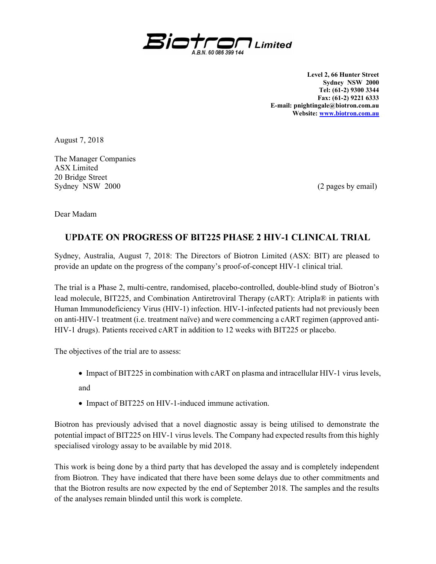

Level 2, 66 Hunter Street Sydney NSW 2000 Tel: (61-2) 9300 3344 Fax: (61-2) 9221 6333 E-mail: pnightingale@biotron.com.au Website: www.biotron.com.au

August 7, 2018

The Manager Companies ASX Limited 20 Bridge Street Sydney NSW 2000 (2 pages by email)

Dear Madam

## UPDATE ON PROGRESS OF BIT225 PHASE 2 HIV-1 CLINICAL TRIAL

Sydney, Australia, August 7, 2018: The Directors of Biotron Limited (ASX: BIT) are pleased to provide an update on the progress of the company's proof-of-concept HIV-1 clinical trial.

The trial is a Phase 2, multi-centre, randomised, placebo-controlled, double-blind study of Biotron's lead molecule, BIT225, and Combination Antiretroviral Therapy (cART): Atripla® in patients with Human Immunodeficiency Virus (HIV-1) infection. HIV-1-infected patients had not previously been on anti-HIV-1 treatment (i.e. treatment naïve) and were commencing a cART regimen (approved anti-HIV-1 drugs). Patients received cART in addition to 12 weeks with BIT225 or placebo.

The objectives of the trial are to assess:

• Impact of BIT225 in combination with cART on plasma and intracellular HIV-1 virus levels,

and

• Impact of BIT225 on HIV-1-induced immune activation.

Biotron has previously advised that a novel diagnostic assay is being utilised to demonstrate the potential impact of BIT225 on HIV-1 virus levels. The Company had expected results from this highly specialised virology assay to be available by mid 2018.

This work is being done by a third party that has developed the assay and is completely independent from Biotron. They have indicated that there have been some delays due to other commitments and that the Biotron results are now expected by the end of September 2018. The samples and the results of the analyses remain blinded until this work is complete.